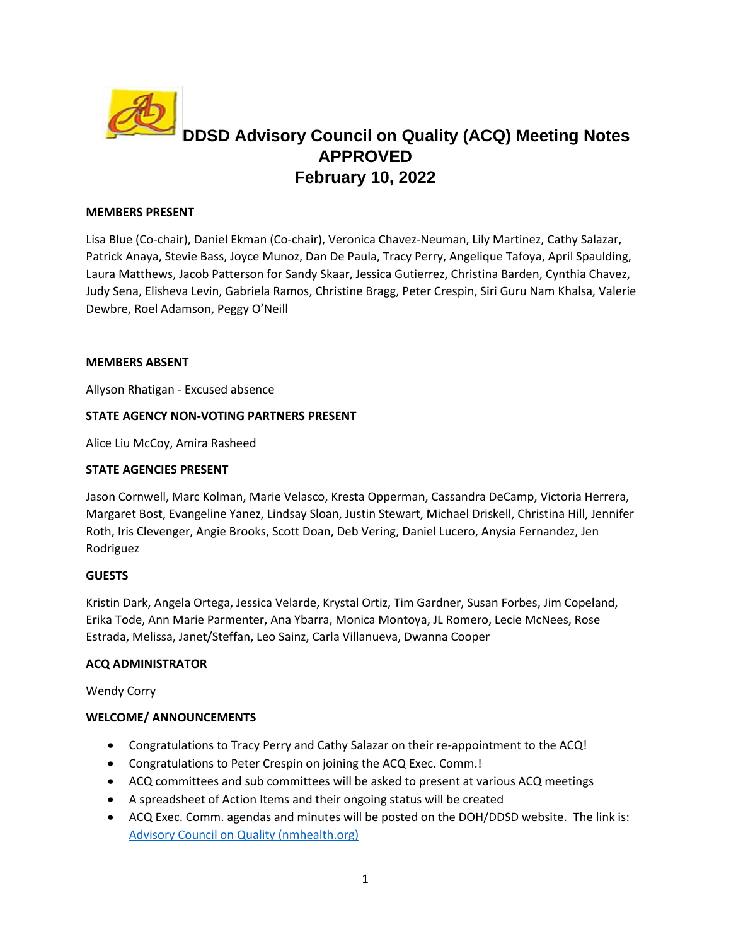

# **DDSD Advisory Council on Quality (ACQ) Meeting Notes APPROVED February 10, 2022**

## **MEMBERS PRESENT**

Lisa Blue (Co-chair), Daniel Ekman (Co-chair), Veronica Chavez-Neuman, Lily Martinez, Cathy Salazar, Patrick Anaya, Stevie Bass, Joyce Munoz, Dan De Paula, Tracy Perry, Angelique Tafoya, April Spaulding, Laura Matthews, Jacob Patterson for Sandy Skaar, Jessica Gutierrez, Christina Barden, Cynthia Chavez, Judy Sena, Elisheva Levin, Gabriela Ramos, Christine Bragg, Peter Crespin, Siri Guru Nam Khalsa, Valerie Dewbre, Roel Adamson, Peggy O'Neill

#### **MEMBERS ABSENT**

Allyson Rhatigan - Excused absence

## **STATE AGENCY NON-VOTING PARTNERS PRESENT**

Alice Liu McCoy, Amira Rasheed

#### **STATE AGENCIES PRESENT**

Jason Cornwell, Marc Kolman, Marie Velasco, Kresta Opperman, Cassandra DeCamp, Victoria Herrera, Margaret Bost, Evangeline Yanez, Lindsay Sloan, Justin Stewart, Michael Driskell, Christina Hill, Jennifer Roth, Iris Clevenger, Angie Brooks, Scott Doan, Deb Vering, Daniel Lucero, Anysia Fernandez, Jen Rodriguez

#### **GUESTS**

Kristin Dark, Angela Ortega, Jessica Velarde, Krystal Ortiz, Tim Gardner, Susan Forbes, Jim Copeland, Erika Tode, Ann Marie Parmenter, Ana Ybarra, Monica Montoya, JL Romero, Lecie McNees, Rose Estrada, Melissa, Janet/Steffan, Leo Sainz, Carla Villanueva, Dwanna Cooper

## **ACQ ADMINISTRATOR**

Wendy Corry

## **WELCOME/ ANNOUNCEMENTS**

- Congratulations to Tracy Perry and Cathy Salazar on their re-appointment to the ACQ!
- Congratulations to Peter Crespin on joining the ACQ Exec. Comm.!
- ACQ committees and sub committees will be asked to present at various ACQ meetings
- A spreadsheet of Action Items and their ongoing status will be created
- ACQ Exec. Comm. agendas and minutes will be posted on the DOH/DDSD website. The link is: [Advisory Council on Quality \(nmhealth.org\)](https://www.nmhealth.org/about/ddsd/coco/acq/)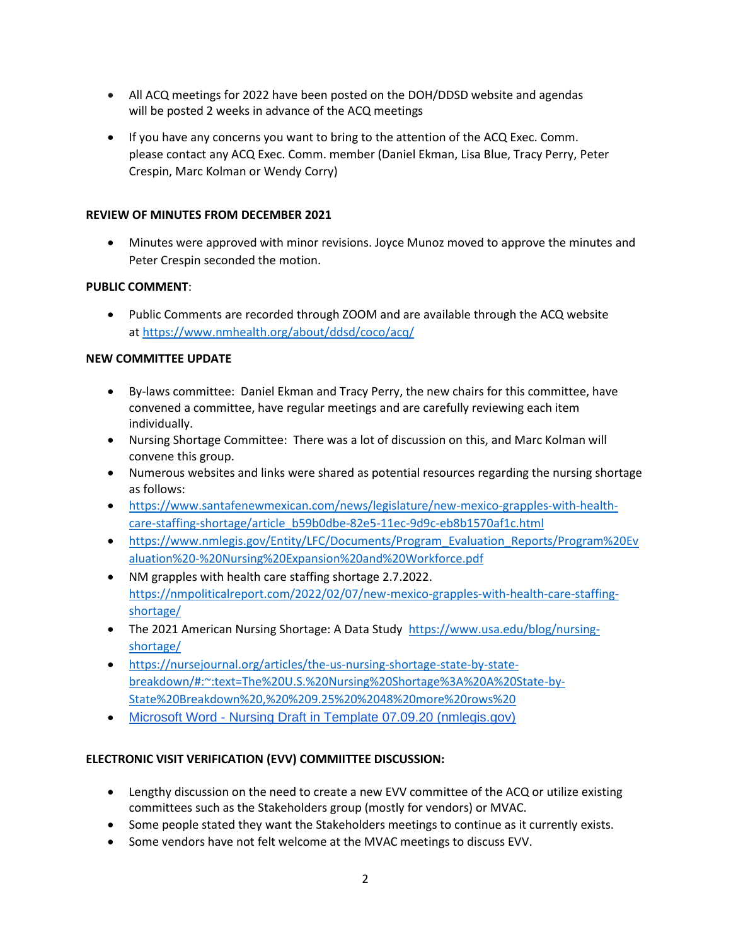- All ACQ meetings for 2022 have been posted on the DOH/DDSD website and agendas will be posted 2 weeks in advance of the ACQ meetings
- If you have any concerns you want to bring to the attention of the ACQ Exec. Comm. please contact any ACQ Exec. Comm. member (Daniel Ekman, Lisa Blue, Tracy Perry, Peter Crespin, Marc Kolman or Wendy Corry)

## **REVIEW OF MINUTES FROM DECEMBER 2021**

• Minutes were approved with minor revisions. Joyce Munoz moved to approve the minutes and Peter Crespin seconded the motion.

## **PUBLIC COMMENT**:

• Public Comments are recorded through ZOOM and are available through the ACQ website at https://www.nmhealth.org/about/ddsd/coco/acq/

## **NEW COMMITTEE UPDATE**

- By-laws committee: Daniel Ekman and Tracy Perry, the new chairs for this committee, have convened a committee, have regular meetings and are carefully reviewing each item individually.
- Nursing Shortage Committee: There was a lot of discussion on this, and Marc Kolman will convene this group.
- Numerous websites and links were shared as potential resources regarding the nursing shortage as follows:
- [https://www.santafenewmexican.com/news/legislature/new-mexico-grapples-with-health](https://www.santafenewmexican.com/news/legislature/new-mexico-grapples-with-health-care-staffing-shortage/article_b59b0dbe-82e5-11ec-9d9c-eb8b1570af1c.html)[care-staffing-shortage/article\\_b59b0dbe-82e5-11ec-9d9c-eb8b1570af1c.html](https://www.santafenewmexican.com/news/legislature/new-mexico-grapples-with-health-care-staffing-shortage/article_b59b0dbe-82e5-11ec-9d9c-eb8b1570af1c.html)
- [https://www.nmlegis.gov/Entity/LFC/Documents/Program\\_Evaluation\\_Reports/Program%20Ev](https://www.nmlegis.gov/Entity/LFC/Documents/Program_Evaluation_Reports/Program%20Evaluation%20-%20Nursing%20Expansion%20and%20Workforce.pdf) [aluation%20-%20Nursing%20Expansion%20and%20Workforce.pdf](https://www.nmlegis.gov/Entity/LFC/Documents/Program_Evaluation_Reports/Program%20Evaluation%20-%20Nursing%20Expansion%20and%20Workforce.pdf)
- NM grapples with health care staffing shortage 2.7.2022. [https://nmpoliticalreport.com/2022/02/07/new-mexico-grapples-with-health-care-staffing](https://nmpoliticalreport.com/2022/02/07/new-mexico-grapples-with-health-care-staffing-shortage/)[shortage/](https://nmpoliticalreport.com/2022/02/07/new-mexico-grapples-with-health-care-staffing-shortage/)
- The 2021 American Nursing Shortage: A Data Study [https://www.usa.edu/blog/nursing](https://www.usa.edu/blog/nursing-shortage/)[shortage/](https://www.usa.edu/blog/nursing-shortage/)
- [https://nursejournal.org/articles/the-us-nursing-shortage-state-by-state](https://nursejournal.org/articles/the-us-nursing-shortage-state-by-state-breakdown/#:~:text=The%20U.S.%20Nursing%20Shortage%3A%20A%20State-by-State%20Breakdown%20,%20%209.25%20%2048%20more%20rows%20)[breakdown/#:~:text=The%20U.S.%20Nursing%20Shortage%3A%20A%20State-by-](https://nursejournal.org/articles/the-us-nursing-shortage-state-by-state-breakdown/#:~:text=The%20U.S.%20Nursing%20Shortage%3A%20A%20State-by-State%20Breakdown%20,%20%209.25%20%2048%20more%20rows%20)[State%20Breakdown%20,%20%209.25%20%2048%20more%20rows%20](https://nursejournal.org/articles/the-us-nursing-shortage-state-by-state-breakdown/#:~:text=The%20U.S.%20Nursing%20Shortage%3A%20A%20State-by-State%20Breakdown%20,%20%209.25%20%2048%20more%20rows%20)
- Microsoft Word [Nursing Draft in Template 07.09.20 \(nmlegis.gov\)](https://www.nmlegis.gov/Entity/LFC/Documents/Program_Evaluation_Reports/Program%20Evaluation%20-%20Nursing%20Expansion%20and%20Workforce.pdf)

# **ELECTRONIC VISIT VERIFICATION (EVV) COMMIITTEE DISCUSSION:**

- Lengthy discussion on the need to create a new EVV committee of the ACQ or utilize existing committees such as the Stakeholders group (mostly for vendors) or MVAC.
- Some people stated they want the Stakeholders meetings to continue as it currently exists.
- Some vendors have not felt welcome at the MVAC meetings to discuss EVV.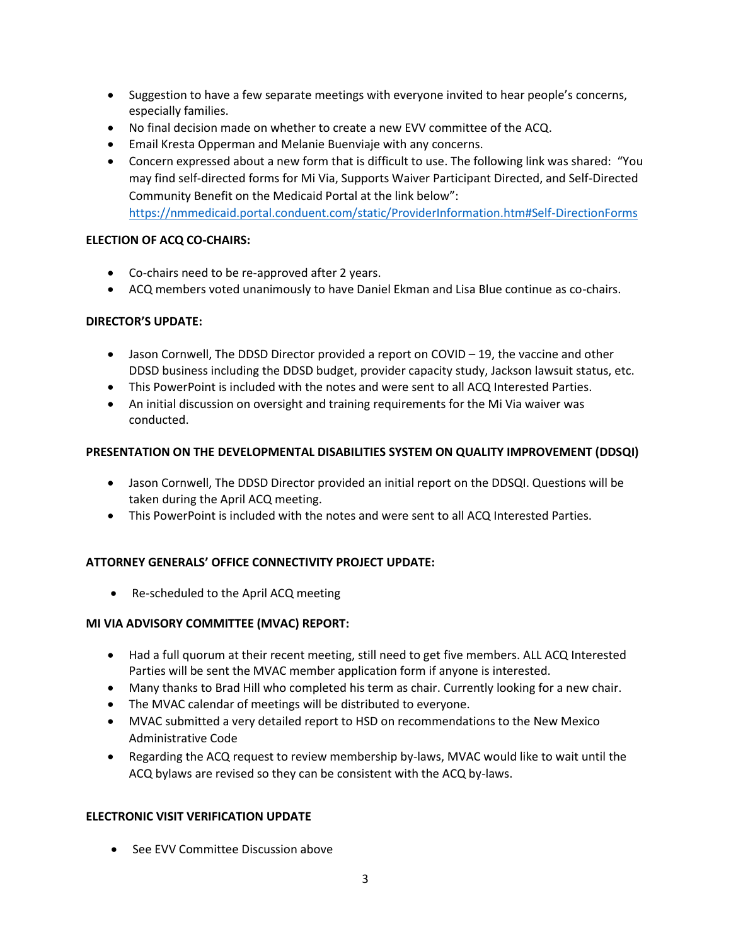- Suggestion to have a few separate meetings with everyone invited to hear people's concerns, especially families.
- No final decision made on whether to create a new EVV committee of the ACQ.
- Email Kresta Opperman and Melanie Buenviaje with any concerns.
- Concern expressed about a new form that is difficult to use. The following link was shared: "You may find self-directed forms for Mi Via, Supports Waiver Participant Directed, and Self-Directed Community Benefit on the Medicaid Portal at the link below": <https://nmmedicaid.portal.conduent.com/static/ProviderInformation.htm#Self-DirectionForms>

## **ELECTION OF ACQ CO-CHAIRS:**

- Co-chairs need to be re-approved after 2 years.
- ACQ members voted unanimously to have Daniel Ekman and Lisa Blue continue as co-chairs.

## **DIRECTOR'S UPDATE:**

- Jason Cornwell, The DDSD Director provided a report on COVID 19, the vaccine and other DDSD business including the DDSD budget, provider capacity study, Jackson lawsuit status, etc.
- This PowerPoint is included with the notes and were sent to all ACQ Interested Parties.
- An initial discussion on oversight and training requirements for the Mi Via waiver was conducted.

## **PRESENTATION ON THE DEVELOPMENTAL DISABILITIES SYSTEM ON QUALITY IMPROVEMENT (DDSQI)**

- Jason Cornwell, The DDSD Director provided an initial report on the DDSQI. Questions will be taken during the April ACQ meeting.
- This PowerPoint is included with the notes and were sent to all ACQ Interested Parties.

# **ATTORNEY GENERALS' OFFICE CONNECTIVITY PROJECT UPDATE:**

• Re-scheduled to the April ACQ meeting

## **MI VIA ADVISORY COMMITTEE (MVAC) REPORT:**

- Had a full quorum at their recent meeting, still need to get five members. ALL ACQ Interested Parties will be sent the MVAC member application form if anyone is interested.
- Many thanks to Brad Hill who completed his term as chair. Currently looking for a new chair.
- The MVAC calendar of meetings will be distributed to everyone.
- MVAC submitted a very detailed report to HSD on recommendations to the New Mexico Administrative Code
- Regarding the ACQ request to review membership by-laws, MVAC would like to wait until the ACQ bylaws are revised so they can be consistent with the ACQ by-laws.

## **ELECTRONIC VISIT VERIFICATION UPDATE**

• See EVV Committee Discussion above